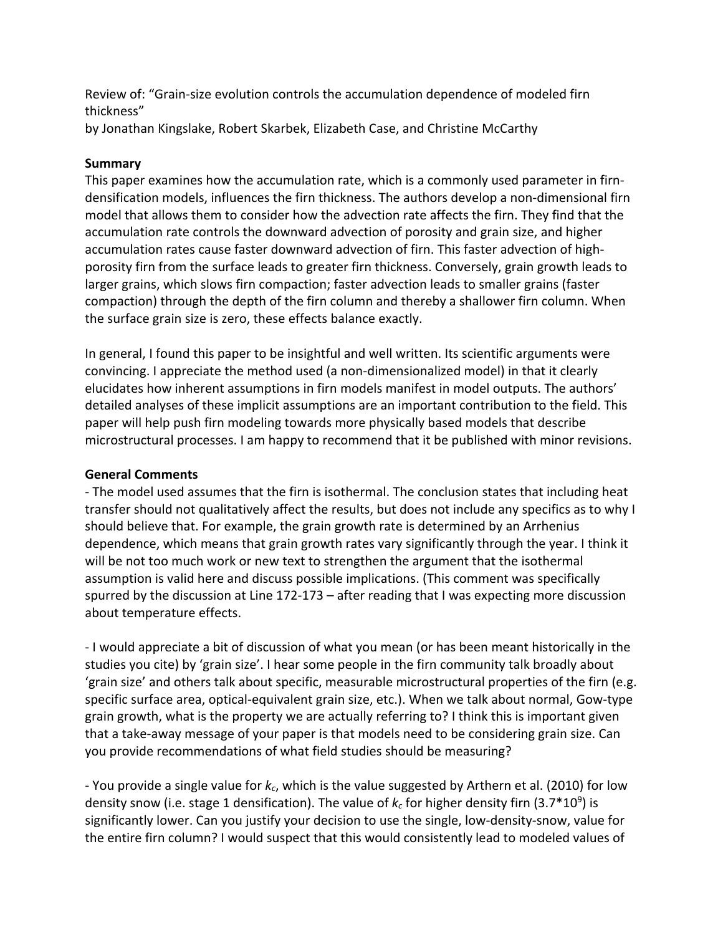Review of: "Grain-size evolution controls the accumulation dependence of modeled firn thickness"

by Jonathan Kingslake, Robert Skarbek, Elizabeth Case, and Christine McCarthy

## **Summary**

This paper examines how the accumulation rate, which is a commonly used parameter in firndensification models, influences the firn thickness. The authors develop a non-dimensional firn model that allows them to consider how the advection rate affects the firn. They find that the accumulation rate controls the downward advection of porosity and grain size, and higher accumulation rates cause faster downward advection of firn. This faster advection of highporosity firn from the surface leads to greater firn thickness. Conversely, grain growth leads to larger grains, which slows firn compaction; faster advection leads to smaller grains (faster compaction) through the depth of the firn column and thereby a shallower firn column. When the surface grain size is zero, these effects balance exactly.

In general, I found this paper to be insightful and well written. Its scientific arguments were convincing. I appreciate the method used (a non-dimensionalized model) in that it clearly elucidates how inherent assumptions in firn models manifest in model outputs. The authors' detailed analyses of these implicit assumptions are an important contribution to the field. This paper will help push firn modeling towards more physically based models that describe microstructural processes. I am happy to recommend that it be published with minor revisions.

## **General Comments**

- The model used assumes that the firn is isothermal. The conclusion states that including heat transfer should not qualitatively affect the results, but does not include any specifics as to why I should believe that. For example, the grain growth rate is determined by an Arrhenius dependence, which means that grain growth rates vary significantly through the year. I think it will be not too much work or new text to strengthen the argument that the isothermal assumption is valid here and discuss possible implications. (This comment was specifically spurred by the discussion at Line 172-173 – after reading that I was expecting more discussion about temperature effects.

- I would appreciate a bit of discussion of what you mean (or has been meant historically in the studies you cite) by 'grain size'. I hear some people in the firn community talk broadly about 'grain size' and others talk about specific, measurable microstructural properties of the firn (e.g. specific surface area, optical-equivalent grain size, etc.). When we talk about normal, Gow-type grain growth, what is the property we are actually referring to? I think this is important given that a take-away message of your paper is that models need to be considering grain size. Can you provide recommendations of what field studies should be measuring?

- You provide a single value for *kc*, which is the value suggested by Arthern et al. (2010) for low density snow (i.e. stage 1 densification). The value of  $k_c$  for higher density firn (3.7\*10<sup>9</sup>) is significantly lower. Can you justify your decision to use the single, low-density-snow, value for the entire firn column? I would suspect that this would consistently lead to modeled values of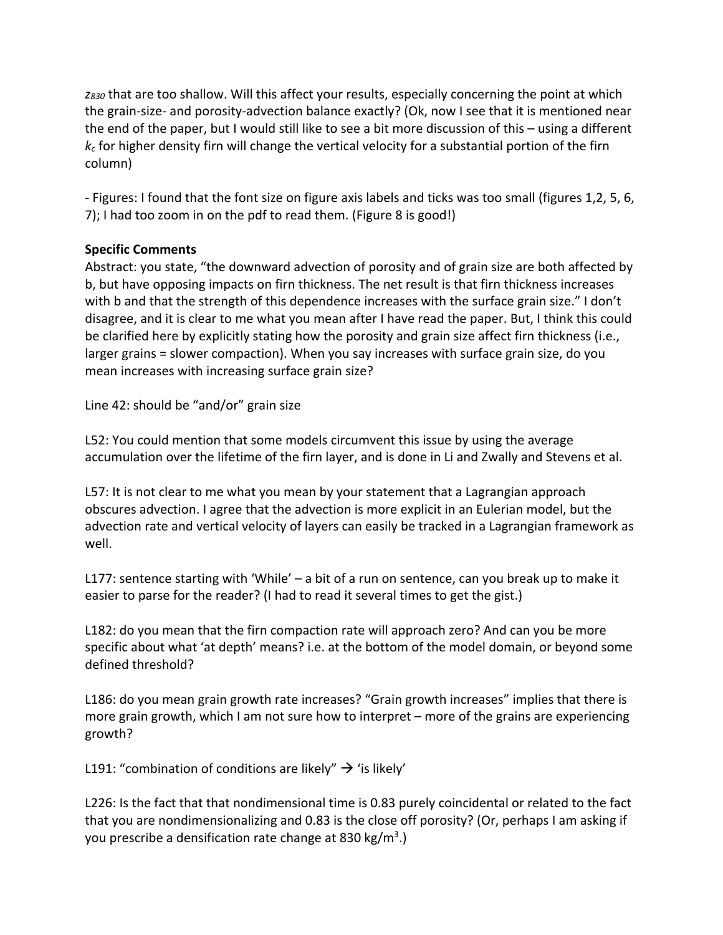*z830* that are too shallow. Will this affect your results, especially concerning the point at which the grain-size- and porosity-advection balance exactly? (Ok, now I see that it is mentioned near the end of the paper, but I would still like to see a bit more discussion of this – using a different  $k<sub>c</sub>$  for higher density firn will change the vertical velocity for a substantial portion of the firn column)

- Figures: I found that the font size on figure axis labels and ticks was too small (figures 1,2, 5, 6, 7); I had too zoom in on the pdf to read them. (Figure 8 is good!)

## **Specific Comments**

Abstract: you state, "the downward advection of porosity and of grain size are both affected by b, but have opposing impacts on firn thickness. The net result is that firn thickness increases with b and that the strength of this dependence increases with the surface grain size." I don't disagree, and it is clear to me what you mean after I have read the paper. But, I think this could be clarified here by explicitly stating how the porosity and grain size affect firn thickness (i.e., larger grains = slower compaction). When you say increases with surface grain size, do you mean increases with increasing surface grain size?

Line 42: should be "and/or" grain size

L52: You could mention that some models circumvent this issue by using the average accumulation over the lifetime of the firn layer, and is done in Li and Zwally and Stevens et al.

L57: It is not clear to me what you mean by your statement that a Lagrangian approach obscures advection. I agree that the advection is more explicit in an Eulerian model, but the advection rate and vertical velocity of layers can easily be tracked in a Lagrangian framework as well.

L177: sentence starting with 'While' – a bit of a run on sentence, can you break up to make it easier to parse for the reader? (I had to read it several times to get the gist.)

L182: do you mean that the firn compaction rate will approach zero? And can you be more specific about what 'at depth' means? i.e. at the bottom of the model domain, or beyond some defined threshold?

L186: do you mean grain growth rate increases? "Grain growth increases" implies that there is more grain growth, which I am not sure how to interpret – more of the grains are experiencing growth?

L191: "combination of conditions are likely"  $\rightarrow$  'is likely'

L226: Is the fact that that nondimensional time is 0.83 purely coincidental or related to the fact that you are nondimensionalizing and 0.83 is the close off porosity? (Or, perhaps I am asking if you prescribe a densification rate change at 830 kg/m<sup>3</sup>.)